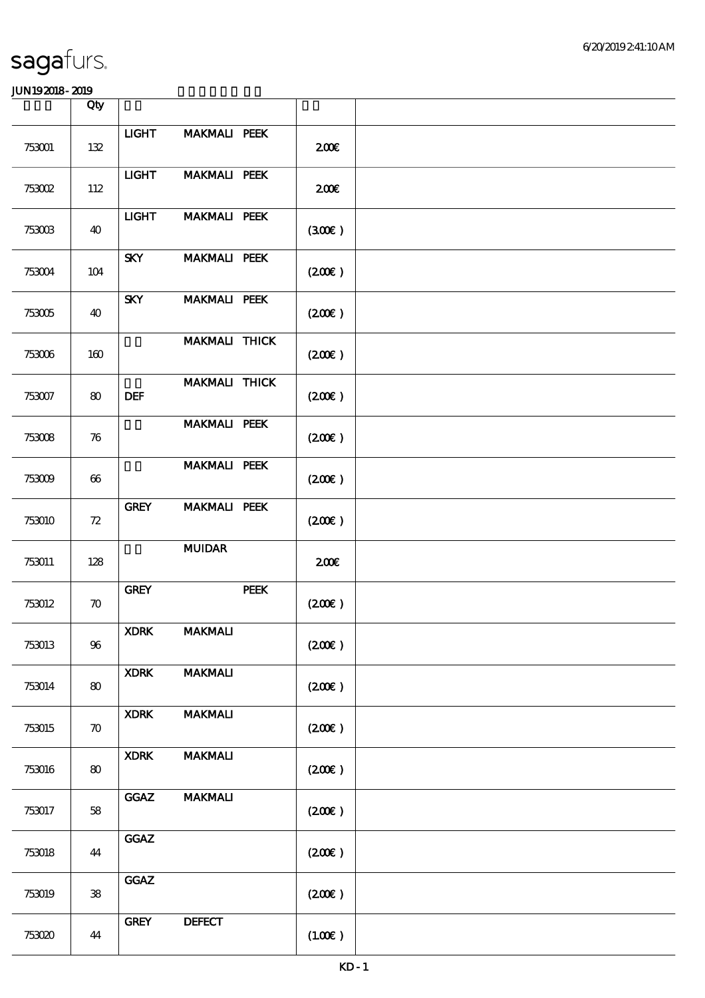|               | Qty                |              |                     |                    |  |
|---------------|--------------------|--------------|---------------------|--------------------|--|
| 753001        | 132                | <b>LIGHT</b> | <b>MAKMALI PEEK</b> | 200E               |  |
| <b>753002</b> | 112                | <b>LIGHT</b> | MAKMALI PEEK        | 200E               |  |
| 753003        | 40                 | <b>LIGHT</b> | <b>MAKMALI PEEK</b> | (30E)              |  |
| 753004        | 104                | <b>SKY</b>   | <b>MAKMALI PEEK</b> | (200)              |  |
| 753005        | 40                 | <b>SKY</b>   | <b>MAKMALI PEEK</b> | $(200\varepsilon)$ |  |
| 753006        | 160                |              | MAKMALI THICK       | (200)              |  |
| 753007        | 80                 | DEF          | MAKMALI THICK       | (200)              |  |
| 753008        | 76                 |              | <b>MAKMALI PEEK</b> | (200)              |  |
| 753009        | $66\,$             |              | <b>MAKMALI PEEK</b> | $(200\varepsilon)$ |  |
| 753010        | ${\bf Z}$          | <b>GREY</b>  | <b>MAKMALI PEEK</b> | (200)              |  |
| 753011        | 128                |              | <b>MUIDAR</b>       | 200E               |  |
| 753012        | $\boldsymbol{\pi}$ | <b>GREY</b>  | PEEK                | (200)              |  |
| 753013        | 96                 | <b>XDRK</b>  | <b>MAKMALI</b>      | (200)              |  |
| 753014        | 80                 | <b>XDRK</b>  | <b>MAKMALI</b>      | $(200\varepsilon)$ |  |
| 753015        | $\boldsymbol{\pi}$ | <b>XDRK</b>  | <b>MAKMALI</b>      | (200)              |  |
| 753016        | 80                 | <b>XDRK</b>  | <b>MAKMALI</b>      | $(200\varepsilon)$ |  |
| 753017        | 58                 | <b>GGAZ</b>  | <b>MAKMALI</b>      | (200)              |  |
| 753018        | 44                 | GGAZ         |                     | (200)              |  |
| 753019        | ${\bf 38}$         | GGAZ         |                     | (200)              |  |
| 753020        | 44                 | <b>GREY</b>  | <b>DEFECT</b>       | $(100\varepsilon)$ |  |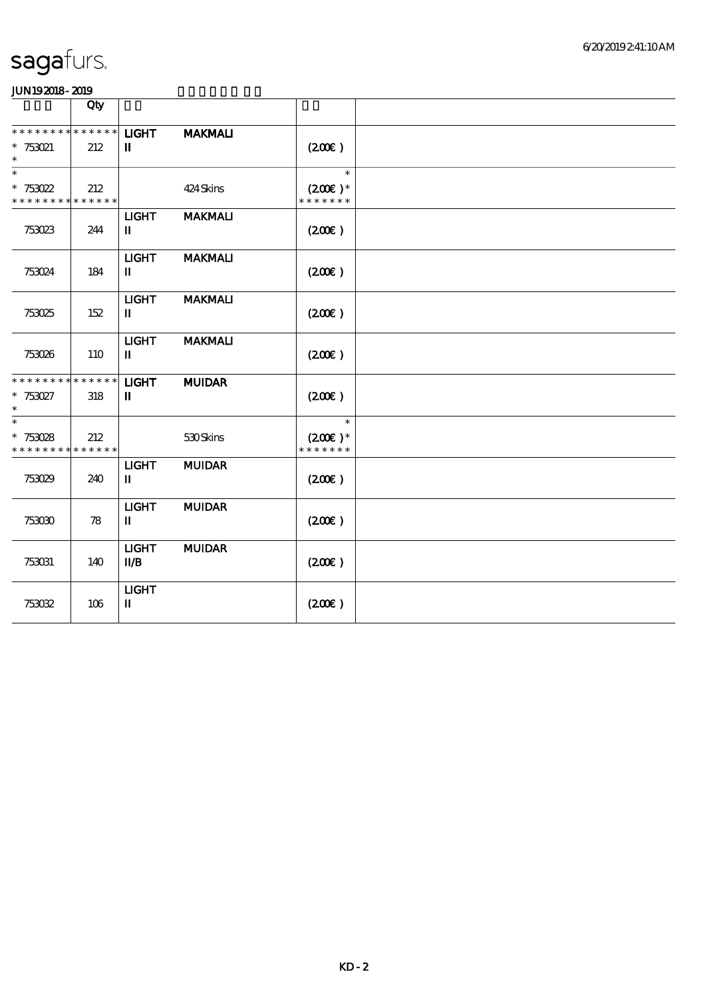|                                                     | Qty                |                                                    |                |                                                 |  |
|-----------------------------------------------------|--------------------|----------------------------------------------------|----------------|-------------------------------------------------|--|
| * * * * * * * *<br>$* 753021$<br>$\ast$             | * * * * * *<br>212 | <b>LIGHT</b><br>П                                  | <b>MAKMALI</b> | (200)                                           |  |
| $* 753022$<br>* * * * * * * * * * * * * *           | 212                |                                                    | 424 Skins      | $\ast$<br>$(200\varepsilon)^*$<br>* * * * * * * |  |
| 753023                                              | 244                | <b>LIGHT</b><br>П                                  | <b>MAKMALI</b> | (200)                                           |  |
| 753024                                              | 184                | <b>LIGHT</b><br>П                                  | <b>MAKMALI</b> | (200E)                                          |  |
| 753025                                              | 152                | <b>LIGHT</b><br>П                                  | <b>MAKMALI</b> | $(200\varepsilon)$                              |  |
| 753026                                              | 110                | <b>LIGHT</b><br>П                                  | <b>MAKMALI</b> | (200)                                           |  |
| * * * * * * * *<br>$* 753027$<br>$\ast$             | * * * * * *<br>318 | <b>LIGHT</b><br>П                                  | <b>MUIDAR</b>  | (200E)                                          |  |
| $\ast$<br>$* 753028$<br>* * * * * * * * * * * * * * | 212                |                                                    | 530Skins       | $\ast$<br>$(200E)*$<br>* * * * * * *            |  |
| 753029                                              | 240                | <b>LIGHT</b><br>П                                  | <b>MUIDAR</b>  | (200)                                           |  |
| 753030                                              | 78                 | <b>LIGHT</b><br>$\mathbf{I}$                       | <b>MUIDAR</b>  | (200E)                                          |  |
| 753031                                              | 140                | <b>LIGHT</b><br>$\mathbf{I} \mathbf{I} \mathbf{B}$ | <b>MUIDAR</b>  | (200E)                                          |  |
| 753032                                              | 106                | <b>LIGHT</b><br>П                                  |                | (200)                                           |  |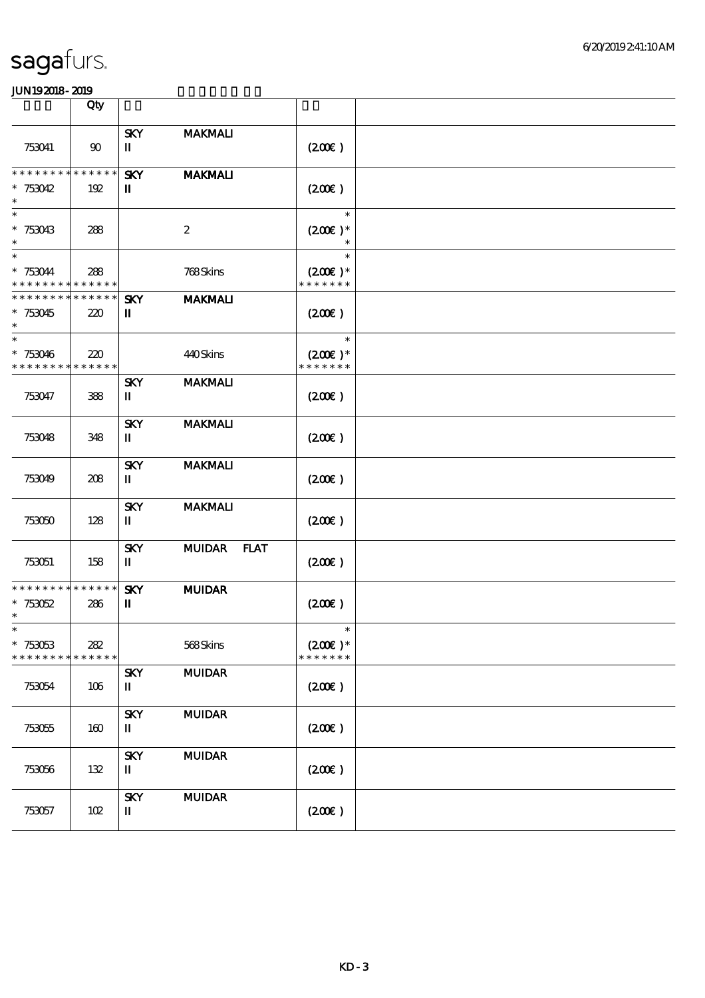|                                                                   | Qty                    |                            |                  |                                                |  |
|-------------------------------------------------------------------|------------------------|----------------------------|------------------|------------------------------------------------|--|
| 753041                                                            | 90                     | <b>SKY</b><br>П            | <b>MAKMALI</b>   | (200)                                          |  |
| * * * * * * * *<br>$* 753042$<br>$\ast$                           | $* * * * * * *$<br>192 | <b>SKY</b><br>$\mathbf{I}$ | <b>MAKMALI</b>   | $(200\varepsilon)$                             |  |
| $\ast$<br>$*753043$<br>$\ast$                                     | 288                    |                            | $\boldsymbol{2}$ | $\ast$<br>$(200E)*$<br>$\ast$                  |  |
| $\ast$<br>$* 753044$<br>* * * * * * * * * * * * * *               | 288                    |                            | 768Skins         | $\ast$<br>$(200\epsilon)*$<br>* * * * * * *    |  |
| * * * * * * * * <mark>* * * * * * *</mark><br>$*753045$<br>$\ast$ | 220                    | <b>SKY</b><br>П            | <b>MAKMALI</b>   | (200)                                          |  |
| $\ast$<br>$*753046$<br>* * * * * * * *                            | 220<br>* * * * * *     |                            | 440Skins         | $\ast$<br>$(200\varepsilon)*$<br>* * * * * * * |  |
| 753047                                                            | 388                    | <b>SKY</b><br>П            | <b>MAKMALI</b>   | (200)                                          |  |
| 753048                                                            | 348                    | <b>SKY</b><br>$\mathbf{I}$ | <b>MAKMALI</b>   | $(200\varepsilon)$                             |  |
| 753049                                                            | 208                    | <b>SKY</b><br>П            | <b>MAKMALI</b>   | (200)                                          |  |
| 753050                                                            | 128                    | <b>SKY</b><br>$\mathbf{I}$ | <b>MAKMALI</b>   | (200)                                          |  |
| 753051                                                            | 158                    | <b>SKY</b><br>П            | MUIDAR FLAT      | $(200\varepsilon)$                             |  |
| * * * * * * * *<br>$*753052$<br>$\ast$                            | * * * * * *<br>286     | <b>SKY</b><br>П            | <b>MUIDAR</b>    | (200)                                          |  |
| $*$<br>$*753053$<br>* * * * * * * *                               | 282<br>* * * * * *     |                            | 568Skins         | $\ast$<br>$(200E)^*$<br>* * * * * * *          |  |
| 753054                                                            | $106\,$                | <b>SKY</b><br>П            | <b>MUIDAR</b>    | $(200\varepsilon)$                             |  |
| 753055                                                            | 160                    | <b>SKY</b><br>$\mathbf{I}$ | <b>MUIDAR</b>    | (200)                                          |  |
| 753056                                                            | 132                    | <b>SKY</b><br>П            | <b>MUIDAR</b>    | (200)                                          |  |
| 753057                                                            | $102$                  | <b>SKY</b><br>П            | <b>MUIDAR</b>    | (200)                                          |  |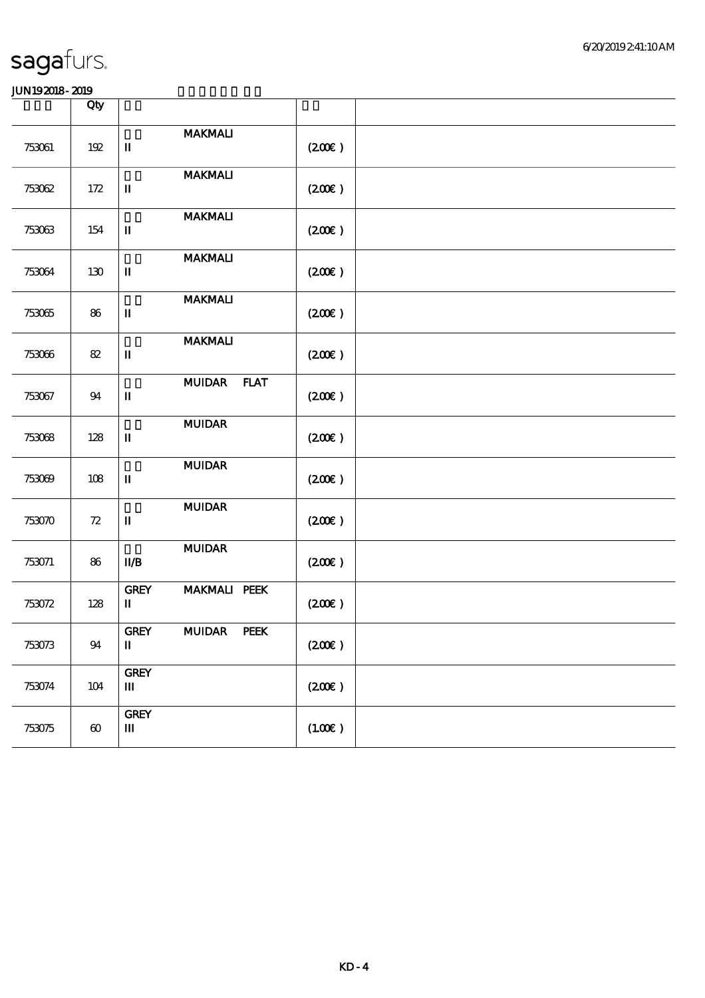|        | Qty            |                                       |                              |                    |  |
|--------|----------------|---------------------------------------|------------------------------|--------------------|--|
| 753061 | 192            | $\mathbf I$                           | <b>MAKMALI</b>               | (200)              |  |
| 753062 | 172            | $\rm I\hspace{-.1em}I\hspace{-.1em}I$ | <b>MAKMALI</b>               | (200)              |  |
| 753063 | 154            | $\mathbf I$                           | <b>MAKMALI</b>               | (200)              |  |
| 753064 | 130            | $\mathbf I$                           | <b>MAKMALI</b>               | (200)              |  |
| 753065 | 86             | $\rm I\hspace{-.1em}I$                | <b>MAKMALI</b>               | (200)              |  |
| 753066 | 82             | $\mathbf I$                           | <b>MAKMALI</b>               | (200)              |  |
| 753067 | 94             | $\mathbf I$                           | <b>MUIDAR</b><br><b>FLAT</b> | (200E)             |  |
| 753068 | 128            | $\rm I\hspace{-.1em}I\hspace{-.1em}I$ | <b>MUIDAR</b>                | (200E)             |  |
| 753069 | 108            | $\mathbf I$                           | $\bf MUDAR$                  | (200)              |  |
| 753070 | 72             | $\mathbf I$                           | <b>MUIDAR</b>                | (200)              |  |
| 753071 | 86             | $I\!I\!I/B$                           | <b>MUIDAR</b>                | $(200\varepsilon)$ |  |
| 753072 | $128$          | <b>GREY</b><br>П                      | <b>MAKMALI PEEK</b>          | (200)              |  |
| 753073 | 94             | <b>GREY</b><br>$\mathbf{I}$           | MUIDAR PEEK                  | (200E)             |  |
| 753074 | 104            | <b>GREY</b><br>Ш                      |                              | (200)              |  |
| 753075 | $\pmb{\infty}$ | <b>GREY</b><br>$\mathbf m$            |                              | $(100\varepsilon)$ |  |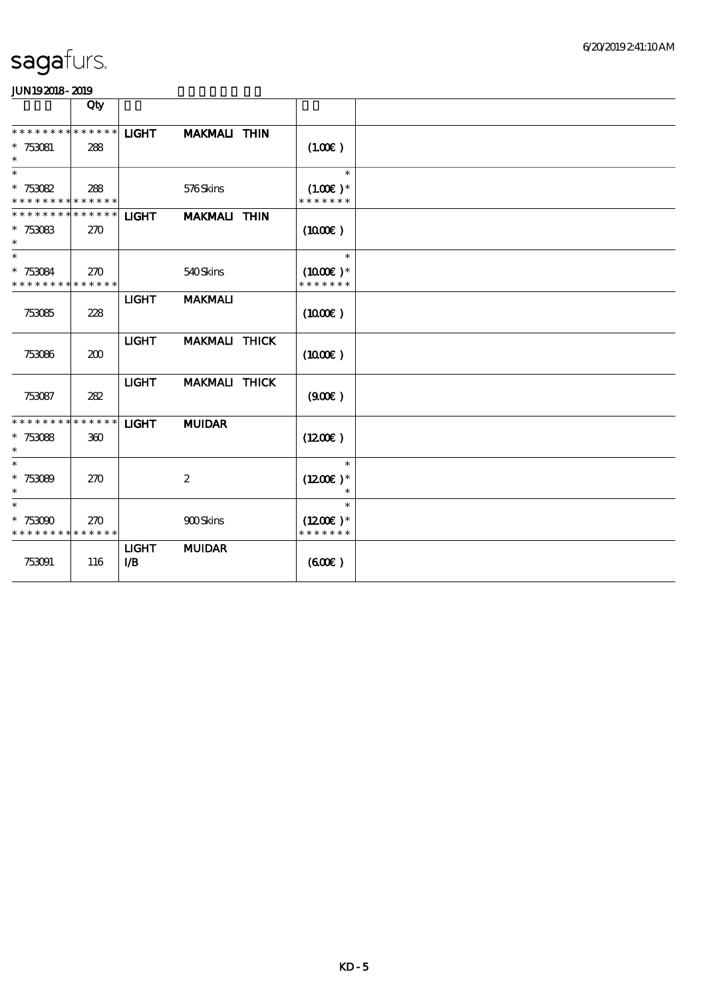|                                                                  | Qty |                            |                     |                                        |  |
|------------------------------------------------------------------|-----|----------------------------|---------------------|----------------------------------------|--|
| * * * * * * * * * * * * * *<br>$*753081$<br>$\ast$               | 288 | <b>LIGHT</b>               | <b>MAKMALI THIN</b> | $(100\varepsilon)$                     |  |
| $\ast$<br>$* 753082$<br>* * * * * * * * <mark>* * * * * *</mark> | 288 |                            | 576Skins            | $\ast$<br>$(100E)*$<br>* * * * * * *   |  |
| ******** <mark>******</mark><br>* $753083$<br>$\ast$             | 270 | <b>LIGHT</b>               | <b>MAKMALI THIN</b> | $(1000\varepsilon)$                    |  |
| $\ast$<br>$* 753084$<br>* * * * * * * * * * * * * *              | 270 |                            | 540Skins            | $\ast$<br>$(1000E)^*$<br>* * * * * * * |  |
| 753085                                                           | 228 | <b>LIGHT</b>               | <b>MAKMALI</b>      | (1000E)                                |  |
| 753086                                                           | 200 | <b>LIGHT</b>               | MAKMALI THICK       | (1000E)                                |  |
| 753087                                                           | 282 | <b>LIGHT</b>               | MAKMALI THICK       | (900)                                  |  |
| * * * * * * * * * * * * * * *<br>$*753088$                       | 360 | <b>LIGHT</b>               | <b>MUIDAR</b>       | (1200)                                 |  |
| $\ast$<br>$* 753089$<br>$\ast$                                   | 270 |                            | $\boldsymbol{2}$    | $\ast$<br>$(1200E)*$                   |  |
| $\ast$<br>$*753090$<br>* * * * * * * * * * * * * *               | 270 |                            | <b>900Skins</b>     | $\ast$<br>$(1200E)^*$<br>* * * * * * * |  |
| 753091                                                           | 116 | <b>LIGHT</b><br><b>I/B</b> | <b>MUIDAR</b>       | (60E)                                  |  |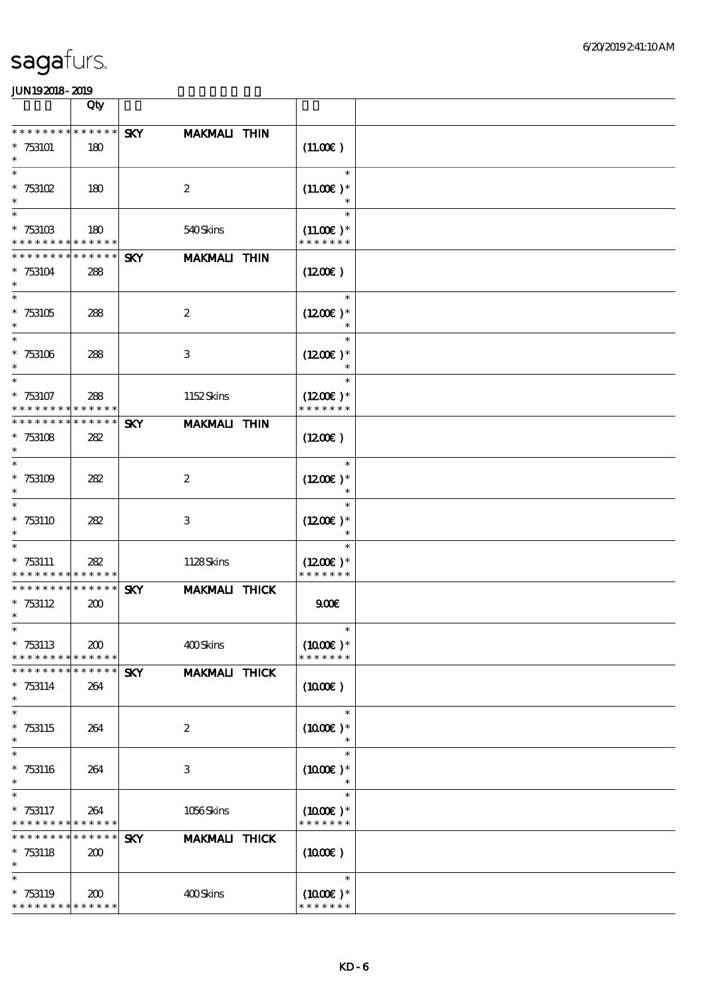|                                                                  | Qty                |            |                      |                                        |  |
|------------------------------------------------------------------|--------------------|------------|----------------------|----------------------------------------|--|
| * * * * * * * *<br>$*753101$<br>$\ast$                           | * * * * * *<br>180 | <b>SKY</b> | <b>MAKMALI THIN</b>  | (11.00)                                |  |
| $\ast$<br>$* 753102$<br>$\ast$                                   | 180                |            | $\boldsymbol{2}$     | $\ast$<br>$(11.00)$ *                  |  |
| $\ast$<br>$* 753103$<br>* * * * * * * * * * * * * *              | 180                |            | 540Skins             | $\ast$<br>$(11.00E)*$<br>* * * * * * * |  |
| * * * * * * * *<br>$*753104$<br>$\ast$                           | * * * * * *<br>288 | <b>SKY</b> | <b>MAKMALI THIN</b>  | (1200)                                 |  |
| $\overline{\ast}$<br>$^*$ 753105 $\,$<br>$\ast$                  | 288                |            | $\boldsymbol{2}$     | $\ast$<br>$(1200E)*$<br>$\ast$         |  |
| $\ast$<br>$* 753106$<br>$\ast$                                   | 288                |            | 3                    | $\ast$<br>$(1200E)^*$<br>$\ast$        |  |
| $\ast$<br>$*753107$<br>* * * * * * * *                           | 288<br>* * * * * * |            | 1152Skins            | $\ast$<br>$(1200E)^*$<br>* * * * * * * |  |
| * * * * * * *<br>$*753108$<br>$\ast$                             | * * * * * *<br>282 | <b>SKY</b> | <b>MAKMALI THIN</b>  | $(1200\varepsilon)$                    |  |
| $\ast$<br>$*753109$<br>$\ast$                                    | 282                |            | $\boldsymbol{2}$     | $\ast$<br>$(1200E)*$                   |  |
| $\ast$<br>$*753110$<br>$\ast$                                    | 282                |            | $\,3$                | $\ast$<br>$(1200E)*$                   |  |
| $\ast$<br>$*753111$<br>* * * * * * * *                           | 282<br>* * * * * * |            | 1128Skins            | $\ast$<br>$(1200E)*$<br>* * * * * * *  |  |
| * * * * * * * *<br>$* 753112$<br>$\ast$                          | * * * * * *<br>200 | <b>SKY</b> | <b>MAKMALI THICK</b> | 900 <sub>E</sub>                       |  |
| $*$<br>$*753113$<br>* * * * * * * *                              | 200<br>* * * * * * |            | 400Skins             | $\ast$<br>$(1000E)^*$<br>* * * * * * * |  |
| * * * * * * *<br>$* 753114$<br>$\ast$                            | * * * * * *<br>264 | <b>SKY</b> | <b>MAKMALI THICK</b> | $(1000\varepsilon)$                    |  |
| $\ast$<br>$*753115$<br>$\ast$                                    | 264                |            | $\boldsymbol{2}$     | $\ast$<br>$(1000E)*$                   |  |
| $\ast$<br>$* 753116$<br>$\ast$                                   | 264                |            | $\,3$                | $\ast$<br>$(1000E)*$                   |  |
| $\ast$<br>$* 753117$<br>* * * * * * * * <mark>* * * * * *</mark> | 264                |            | 1056Skins            | $\ast$<br>$(1000E)*$<br>* * * * * * *  |  |
| * * * * * * * *<br>$*753118$<br>$\ast$                           | * * * * * *<br>200 | <b>SKY</b> | MAKMALI THICK        | $(1000\varepsilon)$                    |  |
| $\ast$<br>$*753119$<br>* * * * * * * * * * * * * *               | 200                |            | 400Skins             | $\ast$<br>$(1000E)*$<br>* * * * * * *  |  |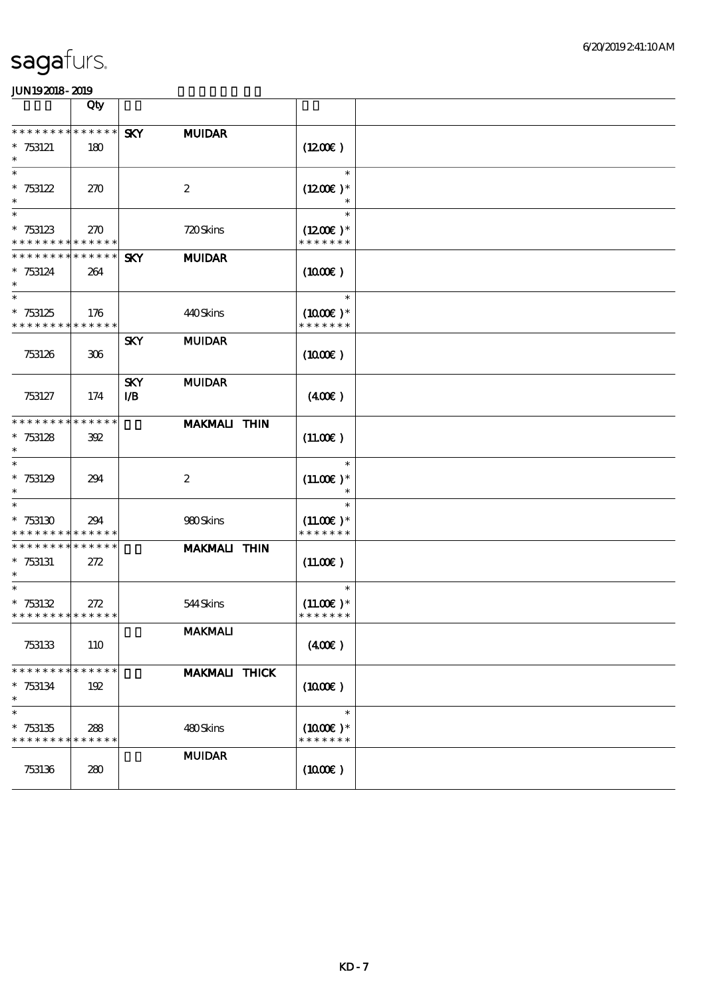|                                                                  | Qty        |                          |                      |                                        |  |
|------------------------------------------------------------------|------------|--------------------------|----------------------|----------------------------------------|--|
| * * * * * * * * <mark>* * * * * * *</mark><br>$*753121$          | 180        | <b>SKY</b>               | <b>MUIDAR</b>        | $(1200\varepsilon)$                    |  |
| $\ast$<br>$\ast$                                                 |            |                          |                      | $\ast$                                 |  |
| $* 753122$<br>$\ast$<br>$\ast$                                   | 270        |                          | $\boldsymbol{2}$     | $(1200E)*$<br>$\ast$                   |  |
| $* 753123$<br>* * * * * * * * <mark>* * * * * *</mark>           | 270        |                          | 720Skins             | $(1200E)*$<br>* * * * * * *            |  |
| * * * * * * * * * * * * * *<br>$* 753124$<br>$\ast$<br>$\ast$    | 264        | <b>SKY</b>               | <b>MUIDAR</b>        | $(1000\varepsilon)$<br>$\ast$          |  |
| $* 753125$<br>* * * * * * * * * * * * * *                        | 176        |                          | 440Skins             | $(1000E)*$<br>* * * * * * *            |  |
| 753126                                                           | 306        | <b>SKY</b>               | <b>MUIDAR</b>        | (1000E)                                |  |
| 753127                                                           | 174        | <b>SKY</b><br><b>I/B</b> | <b>MUIDAR</b>        | (400)                                  |  |
| * * * * * * * * * * * * * *<br>$* 753128$<br>$\ast$              | 302        |                          | <b>MAKMALI THIN</b>  | (11.00)                                |  |
| $\ast$<br>$* 753129$<br>$\ast$                                   | 294        |                          | $\boldsymbol{2}$     | $\ast$<br>$(11.00)$ *<br>$\ast$        |  |
| $\ast$<br>$*753130$<br>* * * * * * * * * * * * * *               | 294        |                          | 980Skins             | $\ast$<br>$(11.00)$ *<br>* * * * * * * |  |
| * * * * * * * * <mark>* * * * * *</mark><br>$*753131$<br>$\ast$  | 272        |                          | <b>MAKMALI THIN</b>  | $(11.00\epsilon)$                      |  |
| $\ast$<br>$* 753132$<br>* * * * * * * * <mark>* * * * * *</mark> | 272        |                          | 544Skins             | $\ast$<br>$(11.00)$ *<br>* * * * * * * |  |
| 753133                                                           | <b>110</b> |                          | <b>MAKMALI</b>       | (400)                                  |  |
| * * * * * * * * * * * * * *<br>$* 753134$<br>$\ast$              | 192        |                          | <b>MAKMALI THICK</b> | (1000E)                                |  |
| $\ast$<br>$* 753135$<br>* * * * * * * * * * * * * *              | 288        |                          | 480Skins             | $\ast$<br>$(1000E)^*$<br>* * * * * * * |  |
| 753136                                                           | 280        |                          | <b>MUIDAR</b>        | (1000E)                                |  |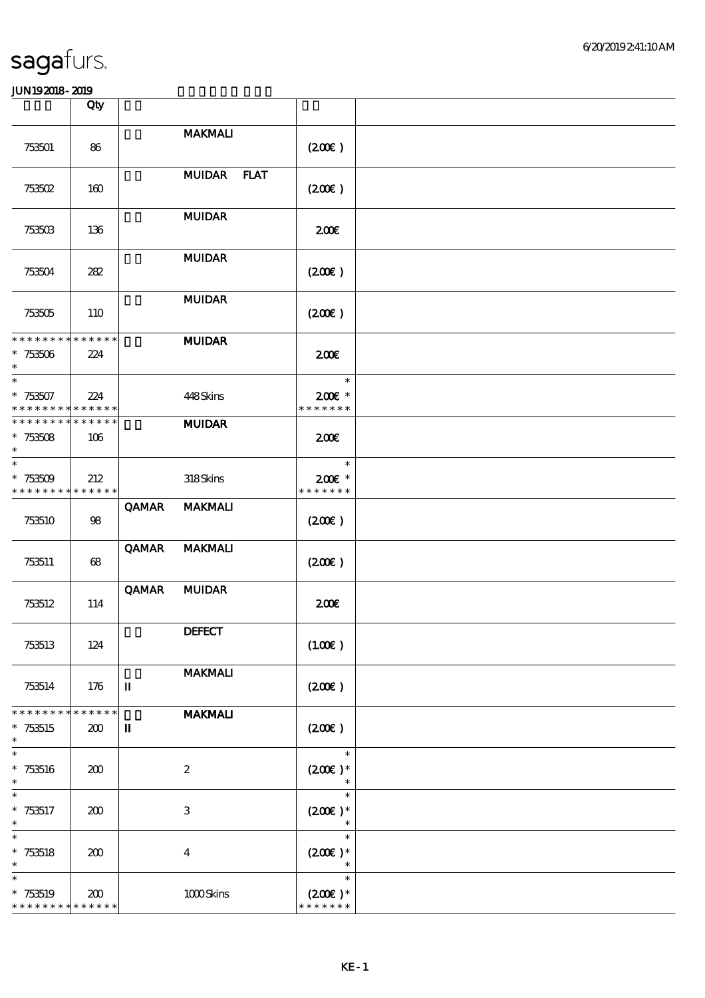|                                                    | Qty                |             |                  |                                         |  |
|----------------------------------------------------|--------------------|-------------|------------------|-----------------------------------------|--|
| 753501                                             | 86                 |             | <b>MAKMALI</b>   | (200)                                   |  |
| <b>753502</b>                                      | 160                |             | MUIDAR FLAT      | (200)                                   |  |
| 753503                                             | 136                |             | <b>MUIDAR</b>    | 200                                     |  |
| 753504                                             | 282                |             | <b>MUIDAR</b>    | (200)                                   |  |
| 753505                                             | 110                |             | <b>MUIDAR</b>    | (200)                                   |  |
| * * * * * * * * * * * * * *<br>$*753506$<br>$\ast$ | 224                |             | <b>MUIDAR</b>    | 200                                     |  |
| $\ast$<br>$*753507$<br>* * * * * * * * * * * * * * | 224                |             | 448Skins         | $\ast$<br>2006 *<br>* * * * * * *       |  |
| * * * * * * * * * * * * * *<br>$*753508$<br>$\ast$ | 106                |             | <b>MUIDAR</b>    | 200E                                    |  |
| $\ast$<br>$*753509$<br>* * * * * * * * * * * * * * | 212                |             | 318Skins         | $\ast$<br>$200E$ *<br>* * * * * * *     |  |
| 753510                                             | 98                 | QAMAR       | <b>MAKMALI</b>   | (200)                                   |  |
| 753511                                             | 68                 | QAMAR       | <b>MAKMALI</b>   | (200)                                   |  |
| 753512                                             | 114                | QAMAR       | <b>MUIDAR</b>    | 200E                                    |  |
| 753513                                             | 124                |             | <b>DEFECT</b>    | (100E)                                  |  |
| 753514                                             | 176                | П           | <b>MAKMALI</b>   | (200)                                   |  |
| * * * * * * * *<br>$*753515$<br>$\ast$             | * * * * * *<br>200 | $\mathbf I$ | <b>MAKMALI</b>   | (200)                                   |  |
| $\ast$<br>$* 753516$<br>$\ast$                     | 200                |             | $\boldsymbol{2}$ | $\ast$<br>$(200E)*$                     |  |
| $\overline{\phantom{a}}$<br>$* 753517$<br>$\ast$   | 200                |             | $\,3$            | $\ast$<br>$(200E)*$                     |  |
| $\ast$<br>$* 753518$<br>$\ast$                     | 200                |             | $\bf{4}$         | $\ast$<br>$(200\varepsilon)*$<br>$\ast$ |  |
| $\ast$<br>$*753519$<br>* * * * * * * * * * * * * * | 200                |             | $1000$ Skins     | $\ast$<br>$(200E)*$<br>* * * * * * *    |  |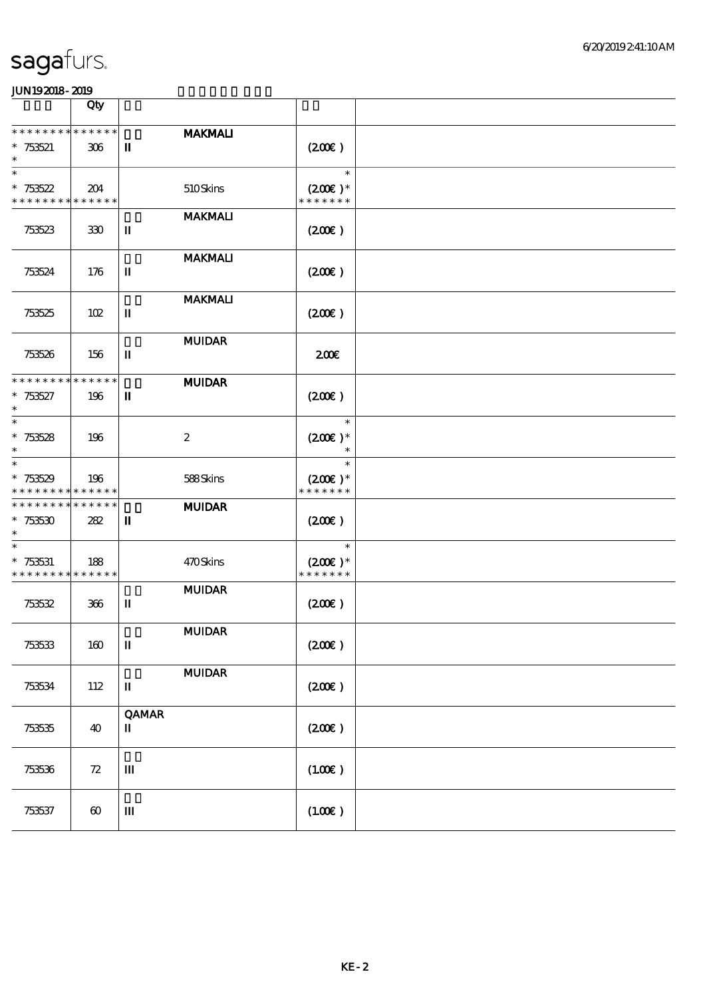|                                                                   | Qty                   |                                         |                                             |  |
|-------------------------------------------------------------------|-----------------------|-----------------------------------------|---------------------------------------------|--|
| * * * * * * * * * * * * * *<br>$*753521$<br>$\ast$                | 306                   | <b>MAKMALI</b><br>$\mathbf I$           | (200)                                       |  |
| $\ast$<br>$* 753522$<br>* * * * * * * * * * * * * *               | 204                   | 510Skins                                | $\ast$<br>$(200\epsilon)*$<br>* * * * * * * |  |
| 753523                                                            | 330                   | <b>MAKMALI</b><br>П                     | (200)                                       |  |
| 753524                                                            | 176                   | <b>MAKMALI</b><br>$\mathbf I$           | (200E)                                      |  |
| 753525                                                            | 102                   | <b>MAKMALI</b><br>П                     | $(200\varepsilon)$                          |  |
| 753526                                                            | 156                   | <b>MUIDAR</b><br>п                      | 200E                                        |  |
| * * * * * * * * * * * * * *<br>$*753527$<br>$\ast$                | 196                   | <b>MUIDAR</b><br>П                      | (200)                                       |  |
| $\ast$<br>$* 753528$<br>$\ast$                                    | 196                   | $\boldsymbol{2}$                        | $\ast$<br>$(200\epsilon)*$<br>$\ast$        |  |
| $\ast$<br>$*753529$<br>* * * * * * * * <mark>* * * * * *</mark> * | 196                   | 588Skins                                | $\ast$<br>$(200\epsilon)*$<br>* * * * * * * |  |
| * * * * * * * * * * * * * *<br>$^\ast$ 753530<br>$\ast$           | 282                   | <b>MUIDAR</b><br>П                      | (200)                                       |  |
| $\ast$<br>$*753531$<br>* * * * * * * * * * * * * *                | 188                   | 470Skins                                | $\ast$<br>$(200\epsilon)*$<br>* * * * * * * |  |
| 753532                                                            | 366                   | <b>MUIDAR</b><br>П                      | (200E)                                      |  |
| 753533                                                            | 160                   | <b>MUIDAR</b><br>$\rm I\hspace{-.1em}I$ | (200E)                                      |  |
| 753534                                                            | 112                   | $\bf MUDAR$<br>$\mathbf I$              | (200)                                       |  |
| 753535                                                            | 40                    | <b>QAMAR</b><br>$\mathbf{I}$            | $(200\varepsilon)$                          |  |
| 753536                                                            | ${\bf Z}$             | Ш                                       | (100E)                                      |  |
| 753537                                                            | $\boldsymbol{\omega}$ | Ш                                       | $(100\varepsilon)$                          |  |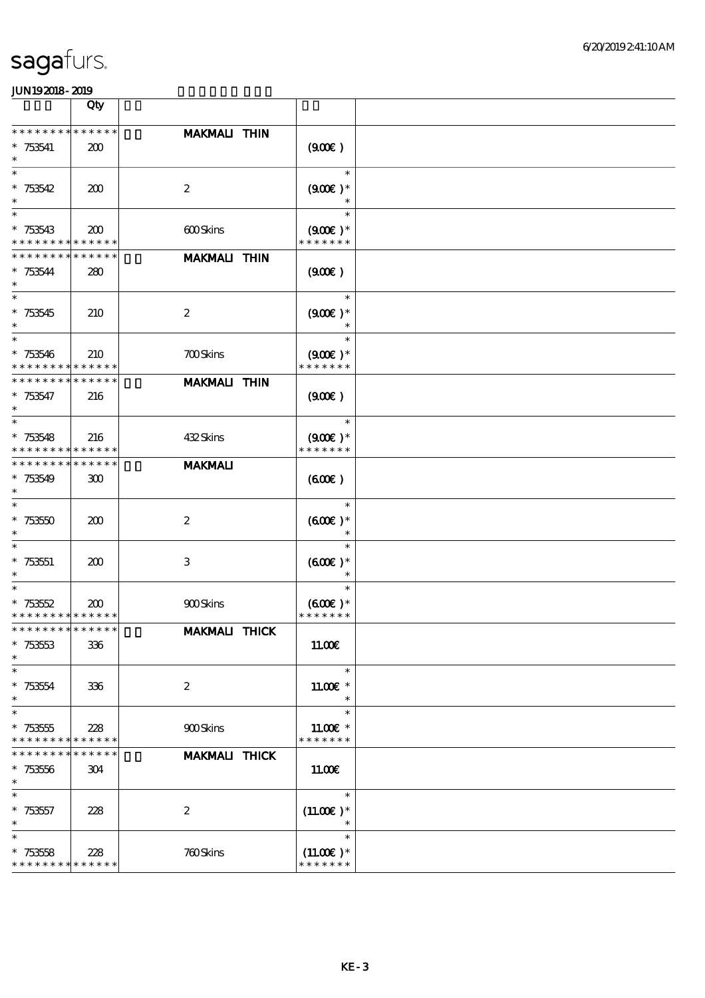|                                    | Qty                        |                      |                              |  |
|------------------------------------|----------------------------|----------------------|------------------------------|--|
| * * * * * * * *                    | * * * * * *                | <b>MAKMALI THIN</b>  |                              |  |
| $* 753541$                         | 200                        |                      | (900)                        |  |
| $\ast$                             |                            |                      |                              |  |
| $\ast$                             |                            |                      | $\ast$                       |  |
| $* 753542$                         | 200                        | $\boldsymbol{2}$     | $(900)$ *                    |  |
| $\ast$<br>$\ast$                   |                            |                      | $\ast$                       |  |
| $* 753543$                         | 200                        | 600Skins             | $(900E)*$                    |  |
| * * * * * * * *                    | * * * * * *                |                      | * * * * * * *                |  |
| * * * * * * * *                    | * * * * * *                | <b>MAKMALI THIN</b>  |                              |  |
| $* 753544$                         | 280                        |                      | (900)                        |  |
| $\ast$                             |                            |                      |                              |  |
| $\overline{\ast}$                  |                            |                      | $\ast$                       |  |
| $*753545$                          | 210                        | $\boldsymbol{2}$     | $(900E)*$                    |  |
| $\ast$                             |                            |                      | $\ast$                       |  |
| $\ast$                             |                            |                      | $\ast$                       |  |
| $* 753546$                         | 210                        | <b>700Skins</b>      | $(900)$ *<br>* * * * * * *   |  |
| * * * * * * * *<br>* * * * * * * * | * * * * * *<br>* * * * * * |                      |                              |  |
| $* 753547$                         | 216                        | <b>MAKMALI THIN</b>  | (900)                        |  |
| $\ast$                             |                            |                      |                              |  |
| $\ast$                             |                            |                      | $\ast$                       |  |
| $* 753548$                         | 216                        | 432Skins             | $(900)$ *                    |  |
| * * * * * * * *                    | * * * * * *                |                      | * * * * * * *                |  |
| * * * * * * * *                    | * * * * * *                | <b>MAKMALI</b>       |                              |  |
| $*753549$                          | 300                        |                      | (60E)                        |  |
| $\ast$                             |                            |                      |                              |  |
| $\ast$                             |                            |                      | $\ast$                       |  |
| $* 75350$                          | 200                        | $\boldsymbol{2}$     | $(60E)^*$                    |  |
| $\ast$<br>$\ast$                   |                            |                      | $\ast$                       |  |
| $* 753551$                         | 200                        | $\,3$                | $(600)$ *                    |  |
| $\ast$                             |                            |                      |                              |  |
| $\ast$                             |                            |                      | $\ast$                       |  |
| $* 753552$                         | 200                        | <b>900Skins</b>      | $(600)$ *                    |  |
| * * * * * * * * * * * * * *        |                            |                      | * * * * * * *                |  |
| * * * * * * * * * * * * * *        |                            | MAKMALI THICK        |                              |  |
| $* 753553$                         | 336                        |                      | 11.00E                       |  |
| $\ast$                             |                            |                      |                              |  |
| $\ast$                             |                            |                      | $\ast$                       |  |
| $* 753554$<br>$\ast$               | 336                        | $\boldsymbol{2}$     | 11.00 $\varepsilon$ *        |  |
| $\ast$                             |                            |                      | $\ast$<br>$\ast$             |  |
| $*753555$                          | 228                        | 900Skins             | $1100E$ *                    |  |
| * * * * * * * *                    | * * * * * *                |                      | * * * * * * *                |  |
| * *                                | * * * * * *                | <b>MAKMALI THICK</b> |                              |  |
| $* 753556$                         | 304                        |                      | 11.00E                       |  |
| $\ast$                             |                            |                      |                              |  |
| $\ast$                             |                            |                      | $\ast$                       |  |
| $* 753557$                         | 228                        | $\boldsymbol{2}$     | $(11.00E)*$                  |  |
| $\ast$<br>$\ast$                   |                            |                      | ∗                            |  |
|                                    |                            |                      | $\ast$                       |  |
| $* 753558$<br>* * * * * * * *      | 228<br>* * * * * *         | 760Skins             | $(11.00E)*$<br>* * * * * * * |  |
|                                    |                            |                      |                              |  |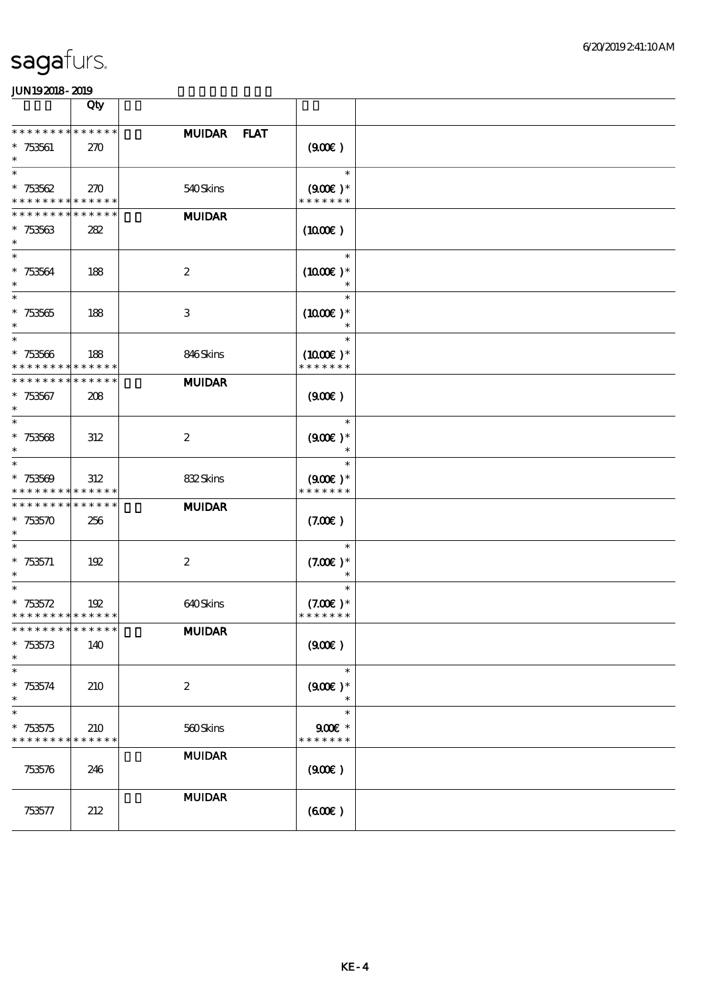|                                                                         | Qty         |                                                      |                     |  |
|-------------------------------------------------------------------------|-------------|------------------------------------------------------|---------------------|--|
| * * * * * * * * * * * * * *                                             |             | <b>MUIDAR</b><br><b>FLAT</b>                         |                     |  |
| $*753561$                                                               | 270         |                                                      | (900)               |  |
| $\ast$<br>$\ast$                                                        |             |                                                      | $\ast$              |  |
| $* 753562$                                                              | 270         | 540Skins                                             | $(900\epsilon)^*$   |  |
| * * * * * * * * * * * * * *                                             |             |                                                      | * * * * * * *       |  |
| * * * * * * * * * * * * * *                                             |             | $\mathbf{M}\mathbf{U}\mathbf{D}\mathbf{A}\mathbf{R}$ |                     |  |
| $* 753563$                                                              | 282         |                                                      | $(1000\varepsilon)$ |  |
| $\ast$<br>$\ast$                                                        |             |                                                      | $\ast$              |  |
| $* 753564$                                                              | 188         | $\boldsymbol{2}$                                     | $(1000E)^*$         |  |
| $\ast$                                                                  |             |                                                      |                     |  |
| $\ast$                                                                  |             |                                                      |                     |  |
| $* 753565$                                                              | 188         | $\,3$                                                | $(1000E)*$          |  |
| $\ast$<br>$\ast$                                                        |             |                                                      | $\ast$              |  |
| $* 753566$                                                              | 188         | 846Skins                                             | $(1000E)*$          |  |
| * * * * * * * * <mark>* * * * * *</mark>                                |             |                                                      | * * * * * * *       |  |
| * * * * * * * * * * * * * *                                             |             | <b>MUIDAR</b>                                        |                     |  |
| $* 753567$                                                              | 208         |                                                      | (900)               |  |
| $\ast$<br>$\ast$                                                        |             |                                                      | $\ast$              |  |
| $* 753568$                                                              | 312         | $\boldsymbol{2}$                                     | $(900)$ *           |  |
| $\ast$                                                                  |             |                                                      |                     |  |
| $\ast$                                                                  |             |                                                      | $\ast$              |  |
| $* 753569$                                                              | 312         | 832Skins                                             | $(900)$ *           |  |
| * * * * * * * * <mark>* * * * * *</mark><br>* * * * * * * * * * * * * * |             |                                                      | * * * * * * *       |  |
| $*753570$                                                               | 256         | <b>MUIDAR</b>                                        | (7.00)              |  |
| $\ast$                                                                  |             |                                                      |                     |  |
| $\ast$                                                                  |             |                                                      | $\ast$              |  |
| $* 753571$                                                              | 192         | $\boldsymbol{2}$                                     | $(7.00)$ *          |  |
| $\ast$<br>$\ast$                                                        |             |                                                      | $\ast$              |  |
| $* 753572$                                                              | 192         | 640Skins                                             | $(7.00)$ *          |  |
| * * * * * * * * * * * * * *                                             |             |                                                      | * * * * * * *       |  |
| * * * * * * * * * * * * * * *                                           |             | <b>MUIDAR</b>                                        |                     |  |
| $* 753573$                                                              | 140         |                                                      | (900)               |  |
| $\ast$<br>$\ast$                                                        |             |                                                      | $\ast$              |  |
| $* 753574$                                                              | 210         | $\boldsymbol{2}$                                     | $(900)$ *           |  |
| $\ast$                                                                  |             |                                                      | $\ast$              |  |
| $\ast$                                                                  |             |                                                      | $\ast$              |  |
| $*753575$                                                               | 210         | 560Skins                                             | $900$ $\epsilon$ *  |  |
| * * * * * * * *                                                         | * * * * * * | <b>MUIDAR</b>                                        | * * * * * * *       |  |
| 753576                                                                  | 246         |                                                      | (900)               |  |
|                                                                         |             |                                                      |                     |  |
|                                                                         |             | <b>MUIDAR</b>                                        |                     |  |
| 753577                                                                  | 212         |                                                      | (60E)               |  |